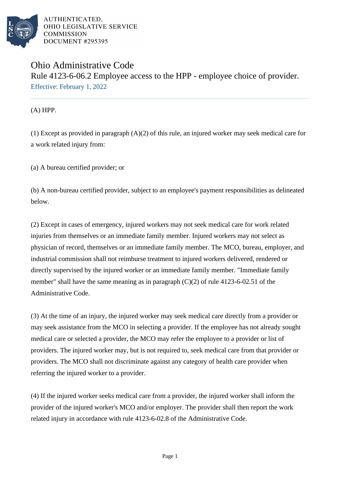

AUTHENTICATED. OHIO LEGISLATIVE SERVICE **COMMISSION** DOCUMENT #295395

## Ohio Administrative Code Rule 4123-6-06.2 Employee access to the HPP - employee choice of provider. Effective: February 1, 2022

(A) HPP.

(1) Except as provided in paragraph (A)(2) of this rule, an injured worker may seek medical care for a work related injury from:

(a) A bureau certified provider; or

(b) A non-bureau certified provider, subject to an employee's payment responsibilities as delineated below.

(2) Except in cases of emergency, injured workers may not seek medical care for work related injuries from themselves or an immediate family member. Injured workers may not select as physician of record, themselves or an immediate family member. The MCO, bureau, employer, and industrial commission shall not reimburse treatment to injured workers delivered, rendered or directly supervised by the injured worker or an immediate family member. "Immediate family member" shall have the same meaning as in paragraph (C)(2) of rule 4123-6-02.51 of the Administrative Code.

(3) At the time of an injury, the injured worker may seek medical care directly from a provider or may seek assistance from the MCO in selecting a provider. If the employee has not already sought medical care or selected a provider, the MCO may refer the employee to a provider or list of providers. The injured worker may, but is not required to, seek medical care from that provider or providers. The MCO shall not discriminate against any category of health care provider when referring the injured worker to a provider.

(4) If the injured worker seeks medical care from a provider, the injured worker shall inform the provider of the injured worker's MCO and/or employer. The provider shall then report the work related injury in accordance with rule 4123-6-02.8 of the Administrative Code.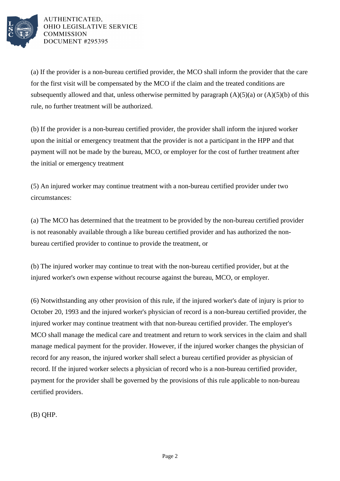

AUTHENTICATED. OHIO LEGISLATIVE SERVICE **COMMISSION DOCUMENT #295395** 

(a) If the provider is a non-bureau certified provider, the MCO shall inform the provider that the care for the first visit will be compensated by the MCO if the claim and the treated conditions are subsequently allowed and that, unless otherwise permitted by paragraph  $(A)(5)(a)$  or  $(A)(5)(b)$  of this rule, no further treatment will be authorized.

(b) If the provider is a non-bureau certified provider, the provider shall inform the injured worker upon the initial or emergency treatment that the provider is not a participant in the HPP and that payment will not be made by the bureau, MCO, or employer for the cost of further treatment after the initial or emergency treatment

(5) An injured worker may continue treatment with a non-bureau certified provider under two circumstances:

(a) The MCO has determined that the treatment to be provided by the non-bureau certified provider is not reasonably available through a like bureau certified provider and has authorized the nonbureau certified provider to continue to provide the treatment, or

(b) The injured worker may continue to treat with the non-bureau certified provider, but at the injured worker's own expense without recourse against the bureau, MCO, or employer.

(6) Notwithstanding any other provision of this rule, if the injured worker's date of injury is prior to October 20, 1993 and the injured worker's physician of record is a non-bureau certified provider, the injured worker may continue treatment with that non-bureau certified provider. The employer's MCO shall manage the medical care and treatment and return to work services in the claim and shall manage medical payment for the provider. However, if the injured worker changes the physician of record for any reason, the injured worker shall select a bureau certified provider as physician of record. If the injured worker selects a physician of record who is a non-bureau certified provider, payment for the provider shall be governed by the provisions of this rule applicable to non-bureau certified providers.

(B) QHP.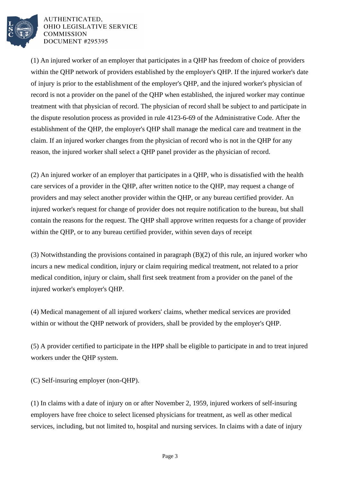

AUTHENTICATED. OHIO LEGISLATIVE SERVICE **COMMISSION** DOCUMENT #295395

(1) An injured worker of an employer that participates in a QHP has freedom of choice of providers within the QHP network of providers established by the employer's QHP. If the injured worker's date of injury is prior to the establishment of the employer's QHP, and the injured worker's physician of record is not a provider on the panel of the QHP when established, the injured worker may continue treatment with that physician of record. The physician of record shall be subject to and participate in the dispute resolution process as provided in rule 4123-6-69 of the Administrative Code. After the establishment of the QHP, the employer's QHP shall manage the medical care and treatment in the claim. If an injured worker changes from the physician of record who is not in the QHP for any reason, the injured worker shall select a QHP panel provider as the physician of record.

(2) An injured worker of an employer that participates in a QHP, who is dissatisfied with the health care services of a provider in the QHP, after written notice to the QHP, may request a change of providers and may select another provider within the QHP, or any bureau certified provider. An injured worker's request for change of provider does not require notification to the bureau, but shall contain the reasons for the request. The QHP shall approve written requests for a change of provider within the QHP, or to any bureau certified provider, within seven days of receipt

(3) Notwithstanding the provisions contained in paragraph (B)(2) of this rule, an injured worker who incurs a new medical condition, injury or claim requiring medical treatment, not related to a prior medical condition, injury or claim, shall first seek treatment from a provider on the panel of the injured worker's employer's QHP.

(4) Medical management of all injured workers' claims, whether medical services are provided within or without the QHP network of providers, shall be provided by the employer's QHP.

(5) A provider certified to participate in the HPP shall be eligible to participate in and to treat injured workers under the QHP system.

(C) Self-insuring employer (non-QHP).

(1) In claims with a date of injury on or after November 2, 1959, injured workers of self-insuring employers have free choice to select licensed physicians for treatment, as well as other medical services, including, but not limited to, hospital and nursing services. In claims with a date of injury